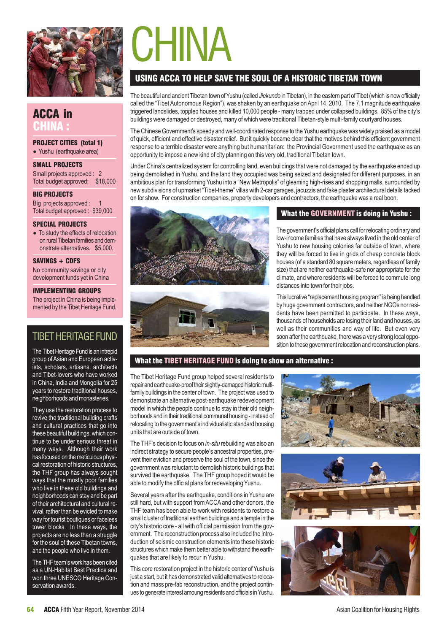

ACCA in CHINA :

PROJECT CITIES (total 1) • Yushu (earthquake area)

SMALL PROJECTS Small projects approved : 2 Total budget approved: \$18,000

BIG PROJECTS

# **CHINA**

# USING ACCA TO HELP SAVE THE SOUL OF A HISTORIC TIBETAN TOWN

The beautiful and ancient Tibetan town of Yushu (called *Jiekundo* in Tibetan), in the eastern part of Tibet (which is now officially called the "Tibet Autonomous Region"), was shaken by an earthquake on April 14, 2010. The 7.1 magnitude earthquake triggered landslides, toppled houses and killed 10,000 people - many trapped under collapsed buildings. 85% of the city's buildings were damaged or destroyed, many of which were traditional Tibetan-style multi-family courtyard houses.

The Chinese Government's speedy and well-coordinated response to the Yushu earthquake was widely praised as a model of quick, efficient and effective disaster relief. But it quickly became clear that the motives behind this efficient government response to a terrible disaster were anything but humanitarian: the Provincial Government used the earthquake as an opportunity to impose a new kind of city planning on this very old, traditional Tibetan town.

Under China's centralized system for controlling land, even buildings that were not damaged by the earthquake ended up being demolished in Yushu, and the land they occupied was being seized and designated for different purposes, in an ambitious plan for transforming Yushu into a "New Metropolis" of gleaming high-rises and shopping malls, surrounded by new subdivisions of upmarket "Tibet-theme" villas with 2-car garages, jacuzzis and fake plaster architectural details tacked on for show. For construction companies, property developers and contractors, the earthquake was a real boon.



• To study the effects of relocation on rural Tibetan families and demonstrate alternatives. \$5,000.

#### SAVINGS + CDFS

No community savings or city development funds yet in China

#### IMPLEMENTING GROUPS

The project in China is being implemented by the Tibet Heritage Fund.

# TIBET HERITAGE FUND

The Tibet Heritage Fund is an intrepid group of Asian and European activists, scholars, artisans, architects and Tibet-lovers who have worked in China, India and Mongolia for 25 years to restore traditional houses, neighborhoods and monasteries.

They use the restoration process to revive the traditional building crafts and cultural practices that go into these beautiful buildings, which continue to be under serious threat in many ways. Although their work has focused on the meticulous physical restoration of historic structures, the THF group has always sought ways that the mostly poor families who live in these old buildings and neighborhoods can stay and be part of their architectural and cultural revival, rather than be evicted to make way for tourist boutiques or faceless tower blocks. In these ways, the projects are no less than a struggle for the soul of these Tibetan towns, and the people who live in them.

The THF team's work has been cited as a UN-Habitat Best Practice and won three UNESCO Heritage Conservation awards.





## What the GOVERNMENT is doing in Yushu :

The government's official plans call for relocating ordinary and low-income families that have always lived in the old center of Yushu to new housing colonies far outside of town, where they will be forced to live in grids of cheap concrete block houses (of a standard 80 square meters, regardless of family size) that are neither earthquake-safe nor appropriate for the climate, and where residents will be forced to commute long distances into town for their jobs.

This lucrative "replacement housing program" is being handled by huge government contractors, and neither NGOs nor residents have been permitted to participate. In these ways, thousands of households are losing their land and houses, as well as their communities and way of life. But even very soon after the earthquake, there was a very strong local opposition to these government relocation and reconstruction plans.

## What the TIBET HERITAGE FUND is doing to show an alternative :

The Tibet Heritage Fund group helped several residents to repair and earthquake-proof their slightly-damaged historic multifamily buildings in the center of town. The project was used to demonstrate an alternative post-earthquake redevelopment model in which the people continue to stay in their old neighborhoods and in their traditional communal housing - instead of relocating to the government's individualistic standard housing units that are outside of town.

The THF's decision to focus on *in-situ* rebuilding was also an indirect strategy to secure people's ancestral properties, prevent their eviction and preserve the soul of the town, since the government was reluctant to demolish historic buildings that survived the earthquake. The THF group hoped it would be able to modify the official plans for redeveloping Yushu.

Several years after the earthquake, conditions in Yushu are still hard, but with support from ACCA and other donors, the THF team has been able to work with residents to restore a small cluster of traditional earthen buildings and a temple in the city's historic core - all with official permission from the government. The reconstruction process also included the introduction of seismic construction elements into these historic structures which make them better able to withstand the earthquakes that are likely to recur in Yushu.

This core restoration project in the historic center of Yushu is just a start, but it has demonstrated valid alternatives to relocation and mass pre-fab reconstruction, and the project continues to generate interest amoung residents and officials in Yushu.